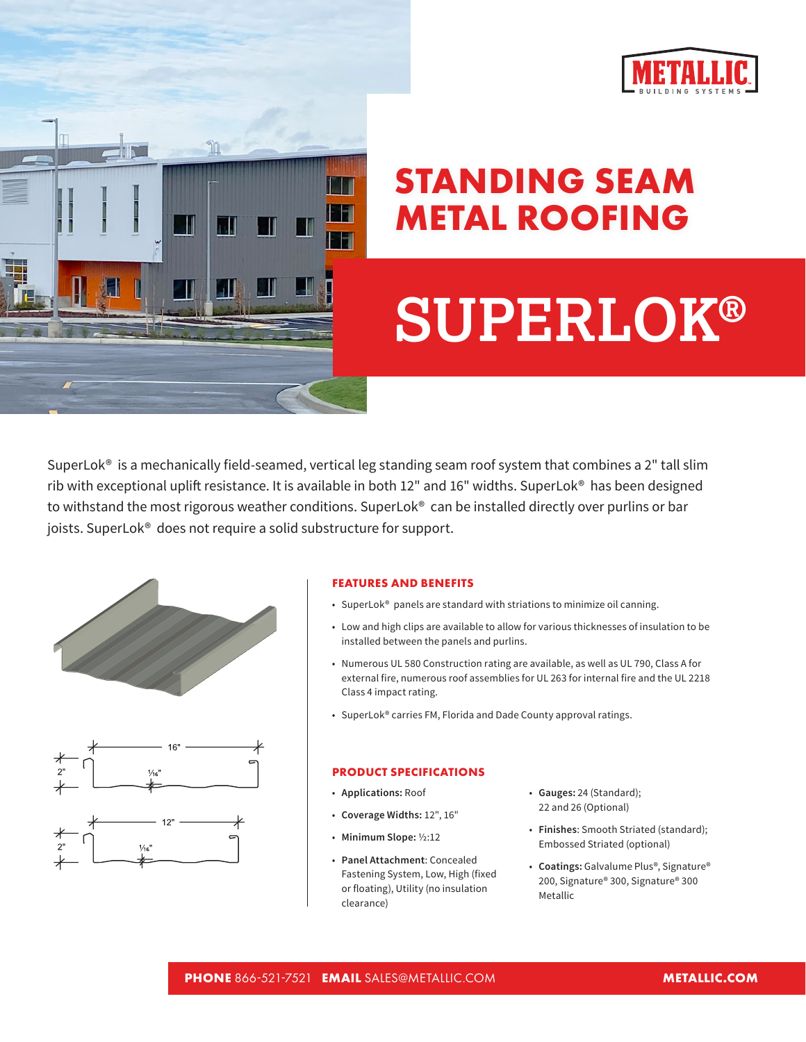



## **STANDING SEAM METAL ROOFING**

# **SUPERLOK®**

SuperLok® is a mechanically field-seamed, vertical leg standing seam roof system that combines a 2" tall slim rib with exceptional uplift resistance. It is available in both 12" and 16" widths. SuperLok® has been designed to withstand the most rigorous weather conditions. SuperLok<sup>®</sup> can be installed directly over purlins or bar joists. SuperLok<sup>®</sup> does not require a solid substructure for support.



#### **FEATURES AND BENEFITS**

- SuperLok® panels are standard with striations to minimize oil canning.
- Low and high clips are available to allow for various thicknesses of insulation to be installed between the panels and purlins.
- Numerous UL 580 Construction rating are available, as well as UL 790, Class A for external fire, numerous roof assemblies for UL 263 for internal fire and the UL 2218 Class 4 impact rating.
- SuperLok® carries FM, Florida and Dade County approval ratings.

#### **PRODUCT SPECIFICATIONS**

- **Applications:** Roof
- **Coverage Widths:** 12", 16"
- **Minimum Slope:** ½:12
- **Panel Attachment**: Concealed Fastening System, Low, High (fixed or floating), Utility (no insulation clearance)
- **Gauges:** 24 (Standard); 22 and 26 (Optional)
- **Finishes**: Smooth Striated (standard); Embossed Striated (optional)
- **Coatings:** Galvalume Plus®, Signature® 200, Signature® 300, Signature® 300 Metallic